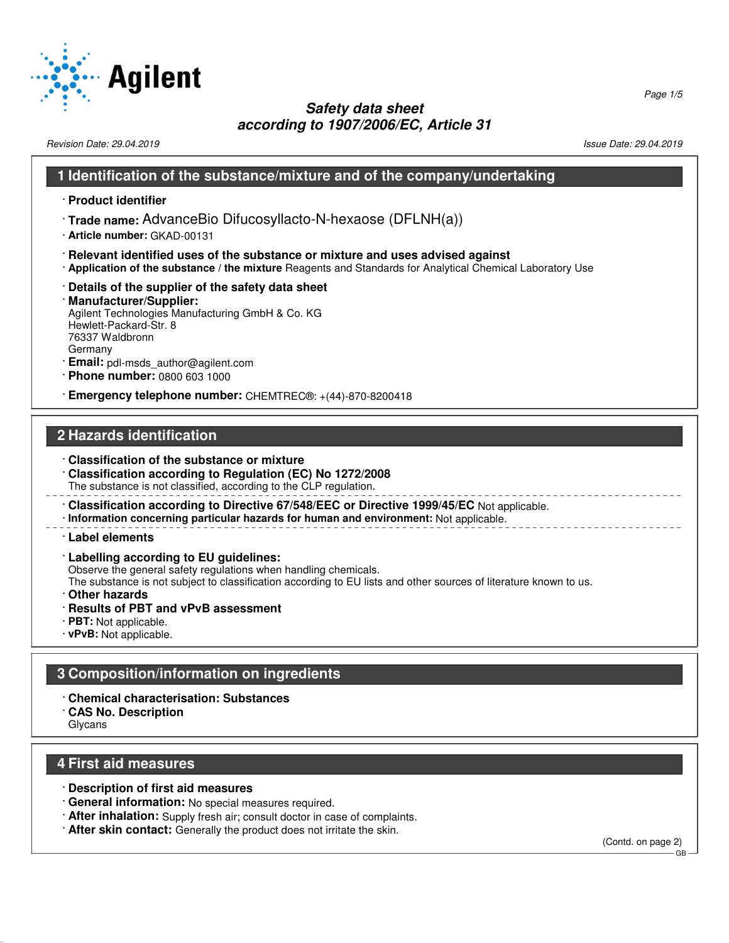

Revision Date: 29.04.2019 Issue Date: 29.04.2019

#### **1 Identification of the substance/mixture and of the company/undertaking**

- · **Product identifier**
- · **Trade name:** AdvanceBio Difucosyllacto-N-hexaose (DFLNH(a))
- · **Article number:** GKAD-00131
- · **Relevant identified uses of the substance or mixture and uses advised against**
- · **Application of the substance / the mixture** Reagents and Standards for Analytical Chemical Laboratory Use
- · **Details of the supplier of the safety data sheet**

#### · **Manufacturer/Supplier:** Agilent Technologies Manufacturing GmbH & Co. KG Hewlett-Packard-Str. 8 76337 Waldbronn Germany

- · **Email:** pdl-msds\_author@agilent.com
- · **Phone number:** 0800 603 1000

· **Emergency telephone number:** CHEMTREC®: +(44)-870-8200418

# **2 Hazards identification**

- · **Classification of the substance or mixture**
- · **Classification according to Regulation (EC) No 1272/2008** The substance is not classified, according to the CLP regulation.
- · **Classification according to Directive 67/548/EEC or Directive 1999/45/EC** Not applicable. · **Information concerning particular hazards for human and environment:** Not applicable.

#### · **Label elements**

· **Labelling according to EU guidelines:**

Observe the general safety regulations when handling chemicals.

The substance is not subject to classification according to EU lists and other sources of literature known to us.

- · **Other hazards**
- · **Results of PBT and vPvB assessment**
- · **PBT:** Not applicable.
- · **vPvB:** Not applicable.

# **3 Composition/information on ingredients**

- · **Chemical characterisation: Substances**
- · **CAS No. Description**
- Glycans

### **4 First aid measures**

- · **Description of first aid measures**
- · **General information:** No special measures required.
- · **After inhalation:** Supply fresh air; consult doctor in case of complaints.
- · **After skin contact:** Generally the product does not irritate the skin.

(Contd. on page 2)

GB

Page 1/5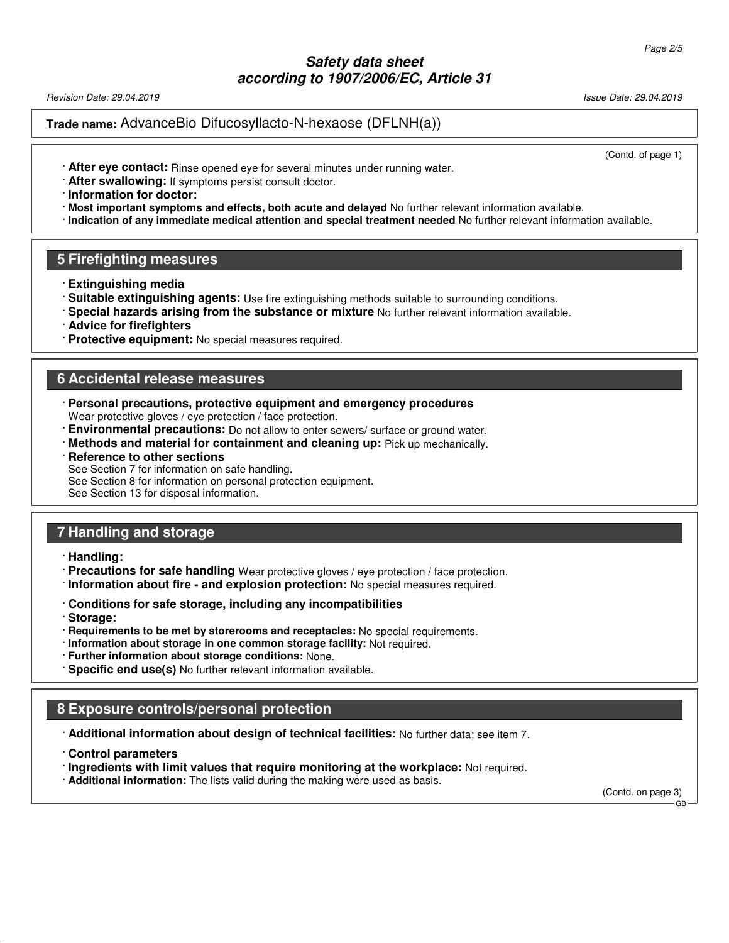Revision Date: 29.04.2019 Issue Date: 29.04.2019

## **Trade name:** AdvanceBio Difucosyllacto-N-hexaose (DFLNH(a))

(Contd. of page 1)

- · **After eye contact:** Rinse opened eye for several minutes under running water.
- · **After swallowing:** If symptoms persist consult doctor.
- · **Information for doctor:**
- · **Most important symptoms and effects, both acute and delayed** No further relevant information available.
- · **Indication of any immediate medical attention and special treatment needed** No further relevant information available.

#### **5 Firefighting measures**

- · **Extinguishing media**
- · **Suitable extinguishing agents:** Use fire extinguishing methods suitable to surrounding conditions.
- · **Special hazards arising from the substance or mixture** No further relevant information available.
- · **Advice for firefighters**
- · **Protective equipment:** No special measures required.

#### **6 Accidental release measures**

- · **Personal precautions, protective equipment and emergency procedures** Wear protective gloves / eye protection / face protection.
- · **Environmental precautions:** Do not allow to enter sewers/ surface or ground water.
- · **Methods and material for containment and cleaning up:** Pick up mechanically.

#### **Reference to other sections**

See Section 7 for information on safe handling.

See Section 8 for information on personal protection equipment.

See Section 13 for disposal information.

## **7 Handling and storage**

- · **Handling:**
- · **Precautions for safe handling** Wear protective gloves / eye protection / face protection.
- · **Information about fire and explosion protection:** No special measures required.
- · **Conditions for safe storage, including any incompatibilities**
- · **Storage:**
- · **Requirements to be met by storerooms and receptacles:** No special requirements.
- · **Information about storage in one common storage facility:** Not required.
- · **Further information about storage conditions:** None.
- · **Specific end use(s)** No further relevant information available.

## **8 Exposure controls/personal protection**

· **Additional information about design of technical facilities:** No further data; see item 7.

- · **Control parameters**
- · **Ingredients with limit values that require monitoring at the workplace:** Not required.

· **Additional information:** The lists valid during the making were used as basis.

(Contd. on page 3)

GB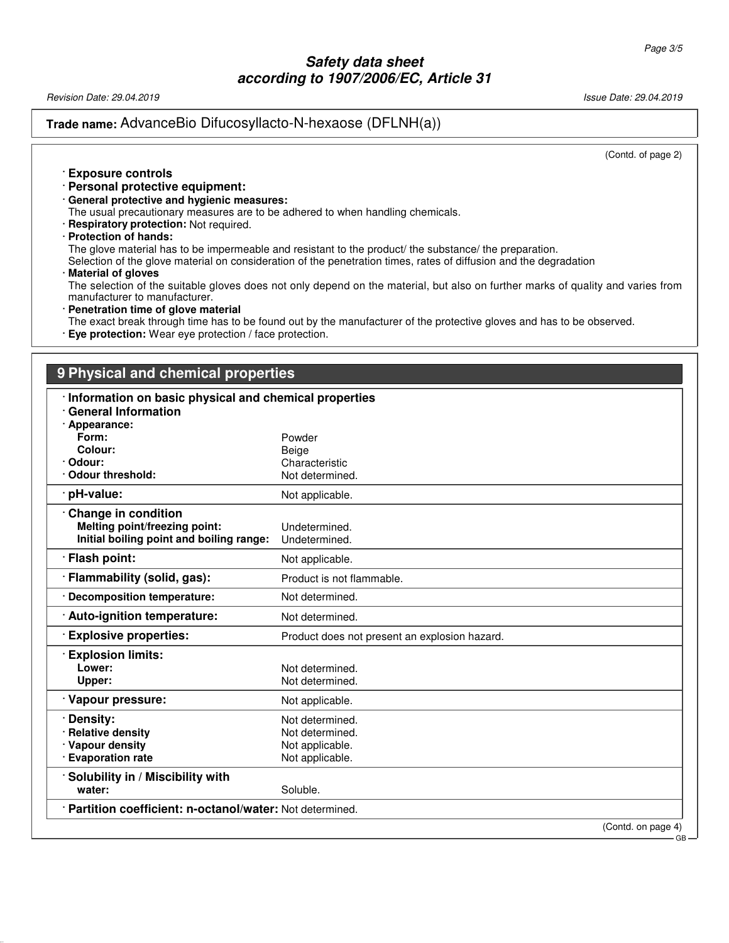Revision Date: 29.04.2019 Issue Date: 29.04.2019

## **Trade name:** AdvanceBio Difucosyllacto-N-hexaose (DFLNH(a))

(Contd. of page 2)

GB

#### · **Exposure controls**

- · **Personal protective equipment:**
- · **General protective and hygienic measures:**

The usual precautionary measures are to be adhered to when handling chemicals.

- · **Respiratory protection:** Not required.
- · **Protection of hands:**

The glove material has to be impermeable and resistant to the product/ the substance/ the preparation.

Selection of the glove material on consideration of the penetration times, rates of diffusion and the degradation

#### · **Material of gloves**

The selection of the suitable gloves does not only depend on the material, but also on further marks of quality and varies from manufacturer to manufacturer.

· **Penetration time of glove material**

The exact break through time has to be found out by the manufacturer of the protective gloves and has to be observed.

· **Eye protection:** Wear eye protection / face protection.

# **9 Physical and chemical properties** · **Information on basic physical and chemical properties** · **General Information** · **Appearance: Form:** Powder **Colour:** Beige<br> **Colour:** Chara<br>
Chara Characteristic<br>Not determined. **· Odour threshold:** · **pH-value:** Not applicable. · **Change in condition Melting point/freezing point:** Undetermined.<br>**Initial boiling point and boiling range:** Undetermined. **Initial boiling point and boiling range: Flash point:** Not applicable. **Flammability (solid, gas):** Product is not flammable. · **Decomposition temperature:** Not determined. **Auto-ignition temperature:** Not determined. · **Explosive properties:** Product does not present an explosion hazard. · **Explosion limits:** Not determined. Upper: Not determined. · **Vapour pressure:** Not applicable. **· Density:** Not determined. **Relative density Not determined.** · **Vapour density Not applicable.** Not applicable. · **Evaporation rate Not applicable. Not applicable.** · **Solubility in / Miscibility with water:** Soluble. · **Partition coefficient: n-octanol/water:** Not determined. (Contd. on page 4)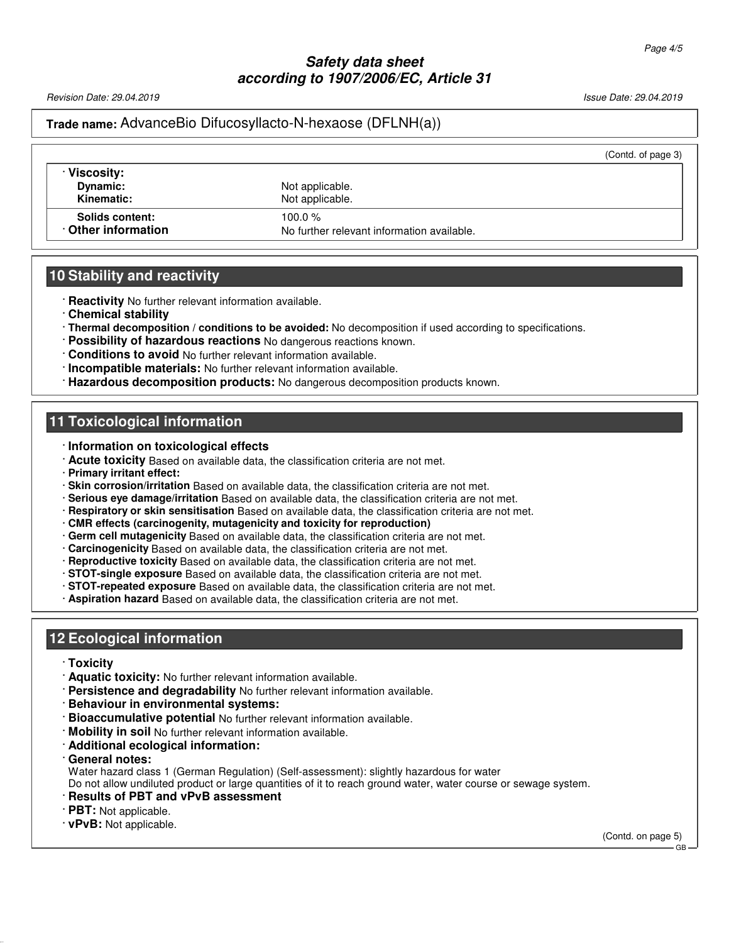Revision Date: 29.04.2019 Issue Date: 29.04.2019

## **Trade name:** AdvanceBio Difucosyllacto-N-hexaose (DFLNH(a))

|                 | (Contd. of page 3)                                            |
|-----------------|---------------------------------------------------------------|
| Not applicable. |                                                               |
| 100.0 $%$       |                                                               |
|                 | Not applicable.<br>No further relevant information available. |

## **10 Stability and reactivity**

- · **Reactivity** No further relevant information available.
- · **Chemical stability**
- · **Thermal decomposition / conditions to be avoided:** No decomposition if used according to specifications.
- · **Possibility of hazardous reactions** No dangerous reactions known.
- · **Conditions to avoid** No further relevant information available.
- · **Incompatible materials:** No further relevant information available.
- · **Hazardous decomposition products:** No dangerous decomposition products known.

### **11 Toxicological information**

- · **Information on toxicological effects**
- · **Acute toxicity** Based on available data, the classification criteria are not met.
- · **Primary irritant effect:**
- · **Skin corrosion/irritation** Based on available data, the classification criteria are not met.
- · **Serious eye damage/irritation** Based on available data, the classification criteria are not met.
- · **Respiratory or skin sensitisation** Based on available data, the classification criteria are not met.
- · **CMR effects (carcinogenity, mutagenicity and toxicity for reproduction)**
- · **Germ cell mutagenicity** Based on available data, the classification criteria are not met.
- · **Carcinogenicity** Based on available data, the classification criteria are not met.
- · **Reproductive toxicity** Based on available data, the classification criteria are not met.
- · **STOT-single exposure** Based on available data, the classification criteria are not met.
- · **STOT-repeated exposure** Based on available data, the classification criteria are not met.
- · **Aspiration hazard** Based on available data, the classification criteria are not met.

## **12 Ecological information**

- · **Toxicity**
- · **Aquatic toxicity:** No further relevant information available.
- · **Persistence and degradability** No further relevant information available.
- · **Behaviour in environmental systems:**
- · **Bioaccumulative potential** No further relevant information available.
- · **Mobility in soil** No further relevant information available.
- · **Additional ecological information:**
- · **General notes:**

Water hazard class 1 (German Regulation) (Self-assessment): slightly hazardous for water

Do not allow undiluted product or large quantities of it to reach ground water, water course or sewage system.

- · **Results of PBT and vPvB assessment**
- · **PBT:** Not applicable.
- · **vPvB:** Not applicable.

(Contd. on page 5) GB